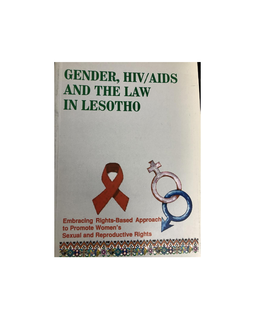

**Embracing Rights-Based Approach** to Promote Women's **Sexual and Reproductive Rights** 

AAAAAAAAAAA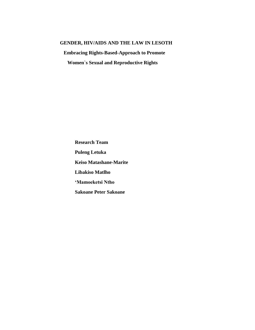## GENDER, HIV/AIDS AND THE LAW IN LESOTH

**Embracing Rights-Based-Approach to Promote** 

**Women's Sexual and Reproductive Rights** 

**Research Team Puleng Letuka Keiso Matashane-Marite Libakiso Matlho** 'Mamoeketsi Ntho **Sakoane Peter Sakoane**